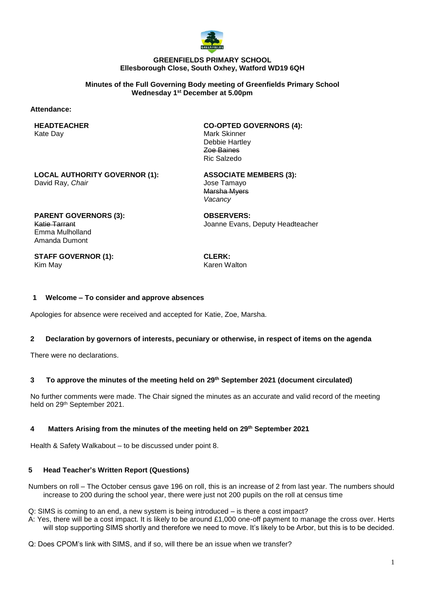

### **GREENFIELDS PRIMARY SCHOOL Ellesborough Close, South Oxhey, Watford WD19 6QH**

**Minutes of the Full Governing Body meeting of Greenfields Primary School Wednesday 1 st December at 5.00pm**

### **Attendance:**

**HEADTEACHER** Kate Day

**CO-OPTED GOVERNORS (4):** Mark Skinner Debbie Hartley Zoe Baines Ric Salzedo

**LOCAL AUTHORITY GOVERNOR (1):** David Ray, *Chair*

**ASSOCIATE MEMBERS (3):** Jose Tamayo Marsha Myers *Vacancy*

**PARENT GOVERNORS (3):** Katie Tarrant Emma Mulholland Amanda Dumont

**OBSERVERS:** Joanne Evans, Deputy Headteacher

**STAFF GOVERNOR (1):** Kim May

**CLERK:** Karen Walton

### **1 Welcome – To consider and approve absences**

Apologies for absence were received and accepted for Katie, Zoe, Marsha.

### **2 Declaration by governors of interests, pecuniary or otherwise, in respect of items on the agenda**

There were no declarations.

## **3 To approve the minutes of the meeting held on 29th September 2021 (document circulated)**

No further comments were made. The Chair signed the minutes as an accurate and valid record of the meeting held on 29th September 2021.

### **4 Matters Arising from the minutes of the meeting held on 29th September 2021**

Health & Safety Walkabout – to be discussed under point 8.

### **5 Head Teacher's Written Report (Questions)**

Numbers on roll – The October census gave 196 on roll, this is an increase of 2 from last year. The numbers should increase to 200 during the school year, there were just not 200 pupils on the roll at census time

Q: SIMS is coming to an end, a new system is being introduced – is there a cost impact?

A: Yes, there will be a cost impact. It is likely to be around £1,000 one-off payment to manage the cross over. Herts will stop supporting SIMS shortly and therefore we need to move. It's likely to be Arbor, but this is to be decided.

Q: Does CPOM's link with SIMS, and if so, will there be an issue when we transfer?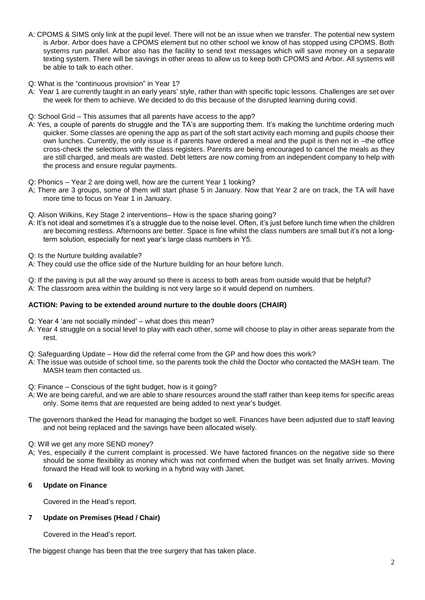- A: CPOMS & SIMS only link at the pupil level. There will not be an issue when we transfer. The potential new system is Arbor. Arbor does have a CPOMS element but no other school we know of has stopped using CPOMS. Both systems run parallel. Arbor also has the facility to send text messages which will save money on a separate texting system. There will be savings in other areas to allow us to keep both CPOMS and Arbor. All systems will be able to talk to each other.
- Q: What is the "continuous provision" in Year 1?
- A: Year 1 are currently taught in an early years' style, rather than with specific topic lessons. Challenges are set over the week for them to achieve. We decided to do this because of the disrupted learning during covid.
- Q: School Grid This assumes that all parents have access to the app?
- A: Yes, a couple of parents do struggle and the TA's are supporting them. It's making the lunchtime ordering much quicker. Some classes are opening the app as part of the soft start activity each morning and pupils choose their own lunches. Currently, the only issue is if parents have ordered a meal and the pupil is then not in –the office cross-check the selections with the class registers. Parents are being encouraged to cancel the meals as they are still charged, and meals are wasted. Debt letters are now coming from an independent company to help with the process and ensure regular payments.
- Q: Phonics Year 2 are doing well, how are the current Year 1 looking?
- A; There are 3 groups, some of them will start phase 5 in January. Now that Year 2 are on track, the TA will have more time to focus on Year 1 in January.
- Q: Alison Wilkins, Key Stage 2 interventions– How is the space sharing going?
- A: It's not ideal and sometimes it's a struggle due to the noise level. Often, it's just before lunch time when the children are becoming restless. Afternoons are better. Space is fine whilst the class numbers are small but it's not a longterm solution, especially for next year's large class numbers in Y5.
- Q: Is the Nurture building available?
- A: They could use the office side of the Nurture building for an hour before lunch.

Q: If the paving is put all the way around so there is access to both areas from outside would that be helpful? A: The classroom area within the building is not very large so it would depend on numbers.

## **ACTION: Paving to be extended around nurture to the double doors (CHAIR)**

- Q: Year 4 'are not socially minded' what does this mean?
- A: Year 4 struggle on a social level to play with each other, some will choose to play in other areas separate from the rest.
- Q: Safeguarding Update How did the referral come from the GP and how does this work?
- A: The issue was outside of school time, so the parents took the child the Doctor who contacted the MASH team. The MASH team then contacted us.
- Q: Finance Conscious of the tight budget, how is it going?
- A: We are being careful, and we are able to share resources around the staff rather than keep items for specific areas only. Some items that are requested are being added to next year's budget.
- The governors thanked the Head for managing the budget so well. Finances have been adjusted due to staff leaving and not being replaced and the savings have been allocated wisely.
- Q: Will we get any more SEND money?
- A; Yes, especially if the current complaint is processed. We have factored finances on the negative side so there should be some flexibility as money which was not confirmed when the budget was set finally arrives. Moving forward the Head will look to working in a hybrid way with Janet.

## **6 Update on Finance**

Covered in the Head's report.

## **7 Update on Premises (Head / Chair)**

Covered in the Head's report.

The biggest change has been that the tree surgery that has taken place.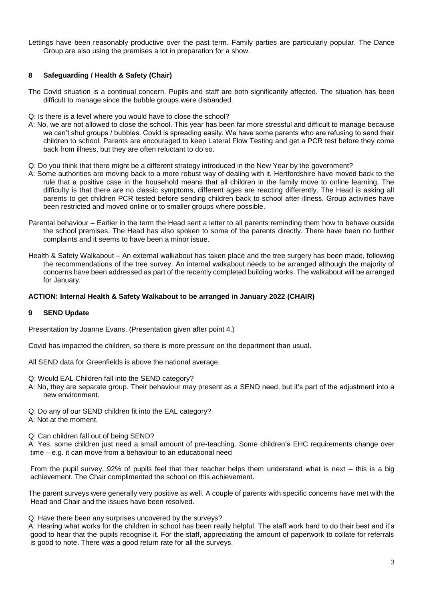Lettings have been reasonably productive over the past term. Family parties are particularly popular. The Dance Group are also using the premises a lot in preparation for a show.

# **8 Safeguarding / Health & Safety (Chair)**

- The Covid situation is a continual concern. Pupils and staff are both significantly affected. The situation has been difficult to manage since the bubble groups were disbanded.
- Q: Is there is a level where you would have to close the school?
- A: No, we are not allowed to close the school. This year has been far more stressful and difficult to manage because we can't shut groups / bubbles. Covid is spreading easily. We have some parents who are refusing to send their children to school. Parents are encouraged to keep Lateral Flow Testing and get a PCR test before they come back from illness, but they are often reluctant to do so.
- Q: Do you think that there might be a different strategy introduced in the New Year by the government?
- A: Some authorities are moving back to a more robust way of dealing with it. Hertfordshire have moved back to the rule that a positive case in the household means that all children in the family move to online learning. The difficulty is that there are no classic symptoms, different ages are reacting differently. The Head is asking all parents to get children PCR tested before sending children back to school after illness. Group activities have been restricted and moved online or to smaller groups where possible.
- Parental behaviour Earlier in the term the Head sent a letter to all parents reminding them how to behave outside the school premises. The Head has also spoken to some of the parents directly. There have been no further complaints and it seems to have been a minor issue.
- Health & Safety Walkabout An external walkabout has taken place and the tree surgery has been made, following the recommendations of the tree survey. An internal walkabout needs to be arranged although the majority of concerns have been addressed as part of the recently completed building works. The walkabout will be arranged for January.

### **ACTION: Internal Health & Safety Walkabout to be arranged in January 2022 (CHAIR)**

### **9 SEND Update**

Presentation by Joanne Evans. (Presentation given after point 4.)

Covid has impacted the children, so there is more pressure on the department than usual.

- All SEND data for Greenfields is above the national average.
- Q: Would EAL Children fall into the SEND category?
- A: No, they are separate group. Their behaviour may present as a SEND need, but it's part of the adjustment into a new environment.
- Q: Do any of our SEND children fit into the EAL category?
- A: Not at the moment.
- Q: Can children fall out of being SEND?

A: Yes, some children just need a small amount of pre-teaching. Some children's EHC requirements change over time – e.g. it can move from a behaviour to an educational need

From the pupil survey, 92% of pupils feel that their teacher helps them understand what is next – this is a big achievement. The Chair complimented the school on this achievement.

The parent surveys were generally very positive as well. A couple of parents with specific concerns have met with the Head and Chair and the issues have been resolved.

Q: Have there been any surprises uncovered by the surveys?

A: Hearing what works for the children in school has been really helpful. The staff work hard to do their best and it's good to hear that the pupils recognise it. For the staff, appreciating the amount of paperwork to collate for referrals is good to note. There was a good return rate for all the surveys.